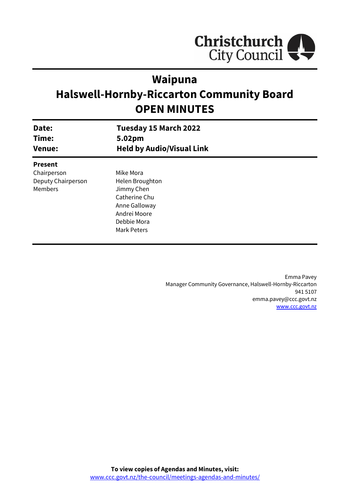

# **Waipuna**

# **Halswell-Hornby-Riccarton Community Board OPEN MINUTES**

| Date:<br>Time:<br><b>Venue:</b> | Tuesday 15 March 2022<br>5.02pm<br><b>Held by Audio/Visual Link</b> |  |
|---------------------------------|---------------------------------------------------------------------|--|
| <b>Present</b>                  |                                                                     |  |
| Chairperson                     | Mike Mora                                                           |  |
| Deputy Chairperson              | Helen Broughton                                                     |  |
| Members                         | Jimmy Chen                                                          |  |
|                                 | Catherine Chu                                                       |  |
|                                 | Anne Galloway                                                       |  |
|                                 | Andrei Moore                                                        |  |
|                                 | Debbie Mora                                                         |  |
|                                 | Mark Peters                                                         |  |
|                                 |                                                                     |  |

Emma Pavey Manager Community Governance, Halswell-Hornby-Riccarton 941 5107 emma.pavey@ccc.govt.nz [www.ccc.govt.nz](http://www.ccc.govt.nz/)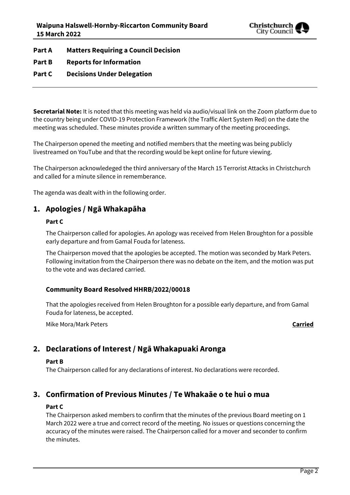

**Part A Matters Requiring a Council Decision**

## **Part B Reports for Information**

## **Part C Decisions Under Delegation**

**Secretarial Note:** It is noted that this meeting was held via audio/visual link on the Zoom platform due to the country being under COVID-19 Protection Framework (the Traffic Alert System Red) on the date the meeting was scheduled. These minutes provide a written summary of the meeting proceedings.

The Chairperson opened the meeting and notified members that the meeting was being publicly livestreamed on YouTube and that the recording would be kept online for future viewing.

The Chairperson acknowledeged the third anniversary of the March 15 Terrorist Attacks in Christchurch and called for a minute silence in rememberance.

The agenda was dealt with in the following order.

## **1. Apologies / Ngā Whakapāha**

### **Part C**

The Chairperson called for apologies. An apology was received from Helen Broughton for a possible early departure and from Gamal Fouda for lateness.

The Chairperson moved that the apologies be accepted. The motion was seconded by Mark Peters. Following invitation from the Chairperson there was no debate on the item, and the motion was put to the vote and was declared carried.

## **Community Board Resolved HHRB/2022/00018**

That the apologies received from Helen Broughton for a possible early departure, and from Gamal Fouda for lateness, be accepted.

Mike Mora/Mark Peters **Carried**

# **2. Declarations of Interest / Ngā Whakapuaki Aronga**

### **Part B**

The Chairperson called for any declarations of interest. No declarations were recorded.

## **3. Confirmation of Previous Minutes / Te Whakaāe o te hui o mua**

### **Part C**

The Chairperson asked members to confirm that the minutes of the previous Board meeting on 1 March 2022 were a true and correct record of the meeting. No issues or questions concerning the accuracy of the minutes were raised. The Chairperson called for a mover and seconder to confirm the minutes.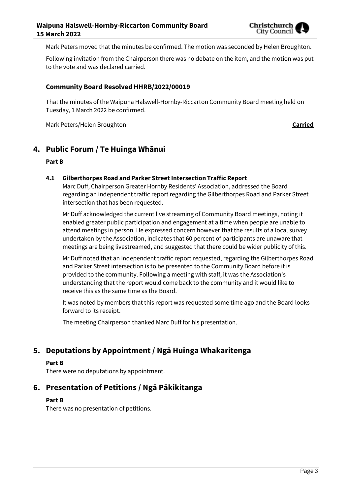

Mark Peters moved that the minutes be confirmed. The motion was seconded by Helen Broughton.

Following invitation from the Chairperson there was no debate on the item, and the motion was put to the vote and was declared carried.

### **Community Board Resolved HHRB/2022/00019**

That the minutes of the Waipuna Halswell-Hornby-Riccarton Community Board meeting held on Tuesday, 1 March 2022 be confirmed.

Mark Peters/Helen Broughton **Carried**

## **4. Public Forum / Te Huinga Whānui**

### **Part B**

### **4.1 Gilberthorpes Road and Parker Street Intersection Traffic Report**

Marc Duff, Chairperson Greater Hornby Residents' Association, addressed the Board regarding an independent traffic report regarding the Gilberthorpes Road and Parker Street intersection that has been requested.

Mr Duff acknowledged the current live streaming of Community Board meetings, noting it enabled greater public participation and engagement at a time when people are unable to attend meetings in person. He expressed concern however that the results of a local survey undertaken by the Association, indicates that 60 percent of participants are unaware that meetings are being livestreamed, and suggested that there could be wider publicity of this.

Mr Duff noted that an independent traffic report requested, regarding the Gilberthorpes Road and Parker Street intersection is to be presented to the Community Board before it is provided to the community. Following a meeting with staff, it was the Association's understanding that the report would come back to the community and it would like to receive this as the same time as the Board.

It was noted by members that this report was requested some time ago and the Board looks forward to its receipt.

The meeting Chairperson thanked Marc Duff for his presentation.

# **5. Deputations by Appointment / Ngā Huinga Whakaritenga**

#### **Part B**

There were no deputations by appointment.

## **6. Presentation of Petitions / Ngā Pākikitanga**

### **Part B**

There was no presentation of petitions.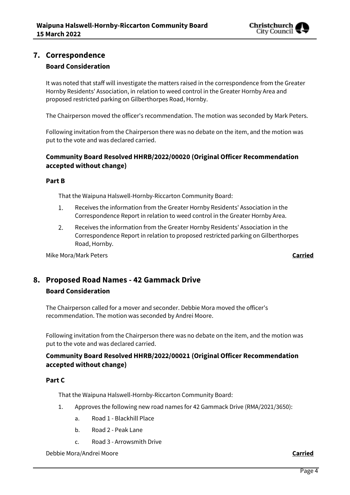

## **7. Correspondence Board Consideration**

It was noted that staff will investigate the matters raised in the correspondence from the Greater Hornby Residents' Association, in relation to weed control in the Greater Hornby Area and proposed restricted parking on Gilberthorpes Road, Hornby.

The Chairperson moved the officer's recommendation. The motion was seconded by Mark Peters.

Following invitation from the Chairperson there was no debate on the item, and the motion was put to the vote and was declared carried.

## **Community Board Resolved HHRB/2022/00020 (Original Officer Recommendation accepted without change)**

### **Part B**

That the Waipuna Halswell-Hornby-Riccarton Community Board:

- Receives the information from the Greater Hornby Residents' Association in the 1. Correspondence Report in relation to weed control in the Greater Hornby Area.
- 2. Receives the information from the Greater Hornby Residents' Association in the Correspondence Report in relation to proposed restricted parking on Gilberthorpes Road, Hornby.

Mike Mora/Mark Peters **Carried**

# **8. Proposed Road Names - 42 Gammack Drive**

### **Board Consideration**

The Chairperson called for a mover and seconder. Debbie Mora moved the officer's recommendation. The motion was seconded by Andrei Moore.

Following invitation from the Chairperson there was no debate on the item, and the motion was put to the vote and was declared carried.

## **Community Board Resolved HHRB/2022/00021 (Original Officer Recommendation accepted without change)**

## **Part C**

That the Waipuna Halswell-Hornby-Riccarton Community Board:

- 1. Approves the following new road names for 42 Gammack Drive (RMA/2021/3650):
	- a. Road 1 Blackhill Place
	- b. Road 2 Peak Lane
	- c. Road 3 Arrowsmith Drive

Debbie Mora/Andrei Moore **Carried**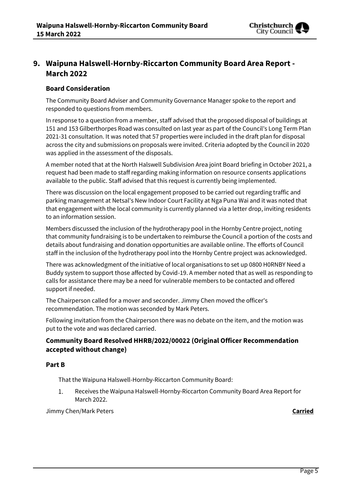

# **9. Waipuna Halswell-Hornby-Riccarton Community Board Area Report - March 2022**

### **Board Consideration**

The Community Board Adviser and Community Governance Manager spoke to the report and responded to questions from members.

In response to a question from a member, staff advised that the proposed disposal of buildings at 151 and 153 Gilberthorpes Road was consulted on last year as part of the Council's Long Term Plan 2021-31 consultation. It was noted that 57 properties were included in the draft plan for disposal across the city and submissions on proposals were invited. Criteria adopted by the Council in 2020 was applied in the assessment of the disposals.

A member noted that at the North Halswell Subdivision Area joint Board briefing in October 2021, a request had been made to staff regarding making information on resource consents applications available to the public. Staff advised that this request is currently being implemented.

There was discussion on the local engagement proposed to be carried out regarding traffic and parking management at Netsal's New Indoor Court Facility at Nga Puna Wai and it was noted that that engagement with the local community is currently planned via a letter drop, inviting residents to an information session.

Members discussed the inclusion of the hydrotherapy pool in the Hornby Centre project, noting that community fundraising is to be undertaken to reimburse the Council a portion of the costs and details about fundraising and donation opportunities are available online. The efforts of Council staff in the inclusion of the hydrotherapy pool into the Hornby Centre project was acknowledged.

There was acknowledgment of the initiative of local organisations to set up 0800 H0RNBY Need a Buddy system to support those affected by Covid-19. A member noted that as well as responding to calls for assistance there may be a need for vulnerable members to be contacted and offered support if needed.

The Chairperson called for a mover and seconder. Jimmy Chen moved the officer's recommendation. The motion was seconded by Mark Peters.

Following invitation from the Chairperson there was no debate on the item, and the motion was put to the vote and was declared carried.

## **Community Board Resolved HHRB/2022/00022 (Original Officer Recommendation accepted without change)**

### **Part B**

That the Waipuna Halswell-Hornby-Riccarton Community Board:

 $1.$ Receives the Waipuna Halswell-Hornby-Riccarton Community Board Area Report for March 2022.

Jimmy Chen/Mark Peters **Carried**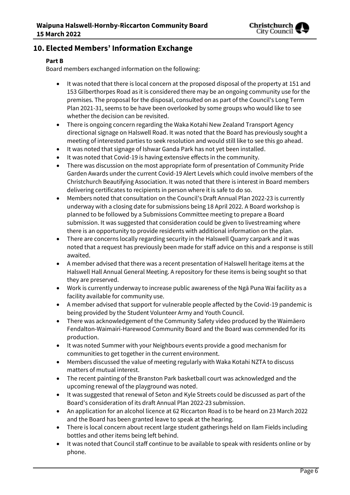

# **10. Elected Members' Information Exchange**

## **Part B**

Board members exchanged information on the following:

- It was noted that there is local concern at the proposed disposal of the property at 151 and 153 Gilberthorpes Road as it is considered there may be an ongoing community use for the premises. The proposal for the disposal, consulted on as part of the Council's Long Term Plan 2021-31, seems to be have been overlooked by some groups who would like to see whether the decision can be revisited.
- There is ongoing concern regarding the Waka Kotahi New Zealand Transport Agency directional signage on Halswell Road. It was noted that the Board has previously sought a meeting of interested parties to seek resolution and would still like to see this go ahead.
- It was noted that signage of Ishwar Ganda Park has not yet been installed.
- It was noted that Covid-19 is having extensive effects in the community.
- There was discussion on the most appropriate form of presentation of Community Pride Garden Awards under the current Covid-19 Alert Levels which could involve members of the Christchurch Beautifying Association. It was noted that there is interest in Board members delivering certificates to recipients in person where it is safe to do so.
- Members noted that consultation on the Council's Draft Annual Plan 2022-23 is currently underway with a closing date for submissions being 18 April 2022. A Board workshop is planned to be followed by a Submissions Committee meeting to prepare a Board submission. It was suggested that consideration could be given to livestreaming where there is an opportunity to provide residents with additional information on the plan.
- There are concerns locally regarding security in the Halswell Quarry carpark and it was noted that a request has previously been made for staff advice on this and a response is still awaited.
- A member advised that there was a recent presentation of Halswell heritage items at the Halswell Hall Annual General Meeting. A repository for these items is being sought so that they are preserved.
- Work is currently underway to increase public awareness of the Ngā Puna Wai facility as a facility available for community use.
- A member advised that support for vulnerable people affected by the Covid-19 pandemic is being provided by the Student Volunteer Army and Youth Council.
- There was acknowledgement of the Community Safety video produced by the Waimāero Fendalton-Waimairi-Harewood Community Board and the Board was commended for its production.
- It was noted Summer with your Neighbours events provide a good mechanism for communities to get together in the current environment.
- Members discussed the value of meeting regularly with Waka Kotahi NZTA to discuss matters of mutual interest.
- The recent painting of the Branston Park basketball court was acknowledged and the upcoming renewal of the playground was noted.
- It was suggested that renewal of Seton and Kyle Streets could be discussed as part of the Board's consideration of its draft Annual Plan 2022-23 submission.
- An application for an alcohol licence at 62 Riccarton Road is to be heard on 23 March 2022 and the Board has been granted leave to speak at the hearing.
- There is local concern about recent large student gatherings held on Ilam Fields including bottles and other items being left behind.
- It was noted that Council staff continue to be available to speak with residents online or by phone.